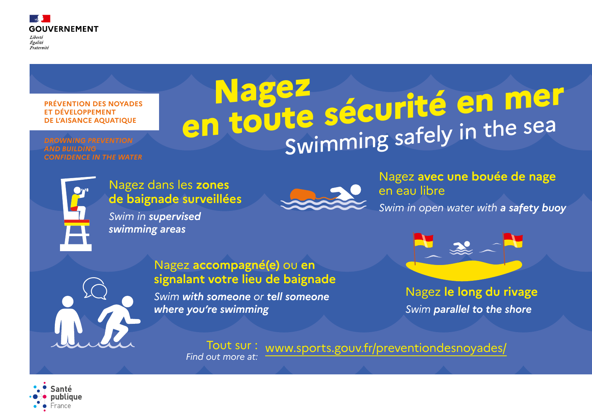

Liberté Égalité Fraternité

# **PRÉVENTION DES NOYADES ET DÉVELOPPEMENT DE L'AISANCE AQUATIQUE**

*DROWNING PREVENTION AND BUILDING CONFIDENCE IN THE WATER*

# **Nagez<br>
<b>en toute sécurité en mer**<br>
Swimming safely in the sea

Nagez dans les **zones de baignade surveillées**

*Swim in supervised swimming areas*



Nagez **le long du rivage** *Swim parallel to the shore*

# Nagez **avec une bouée de nage**

en eau libre



*Swim in open water with a safety buoy*



# Nagez **accompagné(e)** ou **en signalant votre lieu de baignade**

*Swim with someone or tell someone where you're swimming*

Tout sur : *Find out more at:* www.sports.gouv.fr/preventiondesnoyades/